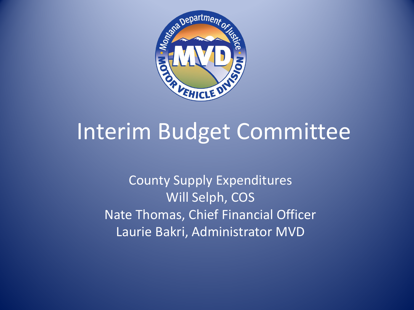

#### Interim Budget Committee

County Supply Expenditures Will Selph, COS Nate Thomas, Chief Financial Officer Laurie Bakri, Administrator MVD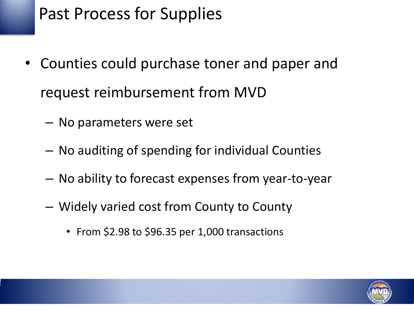#### Past Process for Supplies

- Counties could purchase toner and paper and request reimbursement from MVD
	- No parameters were set
	- No auditing of spending for individual Counties
	- No ability to forecast expenses from year-to-year
	- Widely varied cost from County to County
		- From \$2.98 to \$96.35 per 1,000 transactions

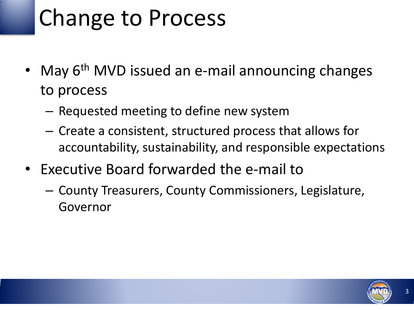# Change to Process

- May 6<sup>th</sup> MVD issued an e-mail announcing changes to process
	- Requested meeting to define new system
	- Create a consistent, structured process that allows for accountability, sustainability, and responsible expectations
- Executive Board forwarded the e-mail to
	- County Treasurers, County Commissioners, Legislature, Governor

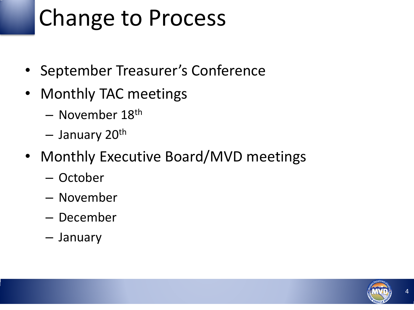# Change to Process

- September Treasurer's Conference
- Monthly TAC meetings
	- November 18th
	- January 20th
- Monthly Executive Board/MVD meetings
	- October
	- November
	- December
	- January

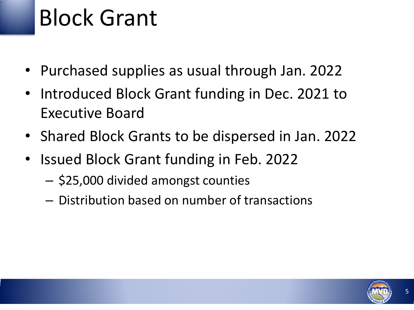### Block Grant

- Purchased supplies as usual through Jan. 2022
- Introduced Block Grant funding in Dec. 2021 to Executive Board
- Shared Block Grants to be dispersed in Jan. 2022
- Issued Block Grant funding in Feb. 2022
	- \$25,000 divided amongst counties
	- Distribution based on number of transactions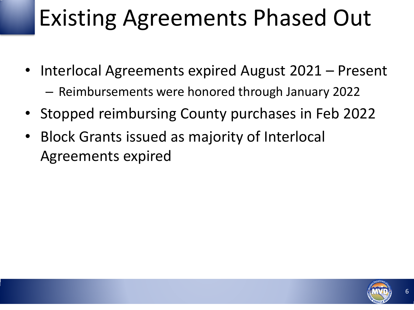## Existing Agreements Phased Out

- Interlocal Agreements expired August 2021 Present – Reimbursements were honored through January 2022
- Stopped reimbursing County purchases in Feb 2022
- Block Grants issued as majority of Interlocal Agreements expired

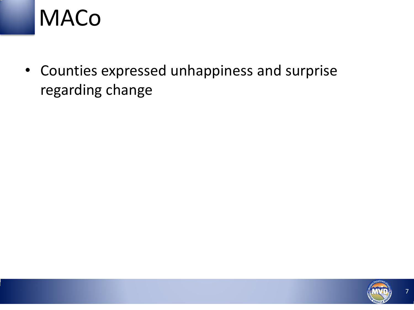#### MACo

• Counties expressed unhappiness and surprise regarding change

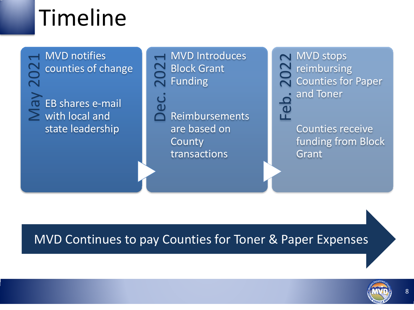## Timeline

→ MVD notifies<br>
→ counties of cha<br>
→ C<br>
→ EB shares e-ma<br>
→ with local and counties of change EB shares e-mail state leadership

AMVD Introduces<br>
Deck Grant<br>
Dec. 2021<br>
Punding<br>
Dec. 2021<br>
Reimbursements Block Grant Funding

Reimbursements are based on County transactions

NET MVD stops<br>
2022 reimbursing<br>
2022 and Toner<br>
2022 and Toner reimbursing Counties for Paper and Toner

> Counties receive funding from Block Grant

MVD Continues to pay Counties for Toner & Paper Expenses